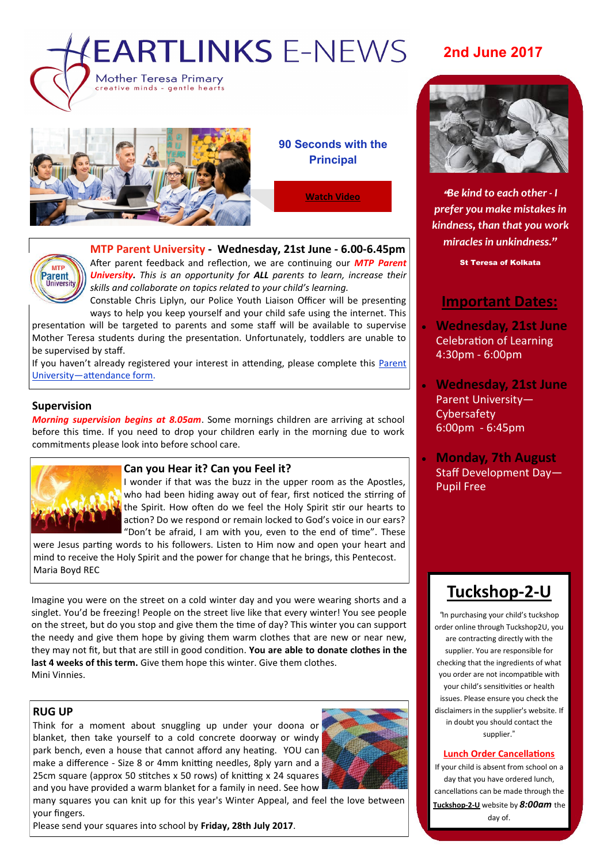

eative minds - gentle hearts

#### **90 Seconds with the Principal**

**[Watch Video](https://youtu.be/9Rlm3P9ijmg)**

# **MTP** Parent

#### **MTP Parent University - Wednesday, 21st June - 6.00-6.45pm**

After parent feedback and reflection, we are continuing our *MTP Parent University. This is an opportunity for ALL parents to learn, increase their skills and collaborate on topics related to your child's learning.*

Constable Chris Liplyn, our Police Youth Liaison Officer will be presenting ways to help you keep yourself and your child safe using the internet. This presentation will be targeted to parents and some staff will be available to supervise Mother Teresa students during the presentation. Unfortunately, toddlers are unable to be supervised by staff.

If you haven't already registered your interest in attending, please complete this [Parent](https://docs.google.com/a/parra.catholic.edu.au/forms/d/1gXlCN4E5t0PbgkQRnKgnJPKd5nKSxtZ5lO3WSmycetA/edit)  [University—attendance form.](https://docs.google.com/a/parra.catholic.edu.au/forms/d/1gXlCN4E5t0PbgkQRnKgnJPKd5nKSxtZ5lO3WSmycetA/edit)

#### **Supervision**

*Morning supervision begins at 8.05am*. Some mornings children are arriving at school before this time. If you need to drop your children early in the morning due to work commitments please look into before school care.



#### **Can you Hear it? Can you Feel it?**

I wonder if that was the buzz in the upper room as the Apostles, who had been hiding away out of fear, first noticed the stirring of the Spirit. How often do we feel the Holy Spirit stir our hearts to action? Do we respond or remain locked to God's voice in our ears? "Don't be afraid, I am with you, even to the end of time". These

were Jesus parting words to his followers. Listen to Him now and open your heart and mind to receive the Holy Spirit and the power for change that he brings, this Pentecost. Maria Boyd REC

Imagine you were on the street on a cold winter day and you were wearing shorts and a singlet. You'd be freezing! People on the street live like that every winter! You see people on the street, but do you stop and give them the time of day? This winter you can support the needy and give them hope by giving them warm clothes that are new or near new, they may not fit, but that are still in good condition. **You are able to donate clothes in the last 4 weeks of this term.** Give them hope this winter. Give them clothes. Mini Vinnies.

#### **RUG UP**

Think for a moment about snuggling up under your doona or blanket, then take yourself to a cold concrete doorway or windy park bench, even a house that cannot afford any heating. YOU can make a difference - Size 8 or 4mm knitting needles, 8ply yarn and a 25cm square (approx 50 stitches x 50 rows) of knitting x 24 squares and you have provided a warm blanket for a family in need. See how



many squares you can knit up for this year's Winter Appeal, and feel the love between your fingers.

Please send your squares into school by **Friday, 28th July 2017**.

### **2nd June 2017**



"*Be kind to each other - I prefer you make mistakes in kindness, than that you work miracles in unkindness."*

St Teresa of Kolkata

#### **Important Dates:**

- **Wednesday, 21st June** Celebration of Learning 4:30pm - 6:00pm
- **Wednesday, 21st June** Parent University— **Cybersafety** 6:00pm - 6:45pm
- **Monday, 7th August** Staff Development Day— Pupil Free

## **[Tuckshop](https://tuckshop2u.com.au/)-2-U**

*"*In purchasing your child's tuckshop order online through Tuckshop2U, you are contracting directly with the supplier. You are responsible for checking that the ingredients of what you order are not incompatible with your child's sensitivities or health issues. Please ensure you check the disclaimers in the supplier's website. If in doubt you should contact the supplier."

#### **Lunch Order Cancellations**

If your child is absent from school on a day that you have ordered lunch, cancellations can be made through the **[Tuckshop](https://tuckshop2u.com.au/pages/cancel-lunch)-2-U** website by *8:00am* the day of.